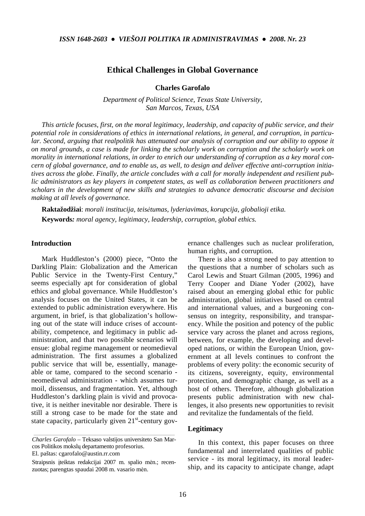# **Ethical Challenges in Global Governance**

**Charles Garofalo** 

*Department of Political Science, Texas State University, San Marcos, Texas, USA* 

*This article focuses, first, on the moral legitimacy, leadership, and capacity of public service, and their potential role in considerations of ethics in international relations, in general, and corruption, in particu*lar. Second, arguing that realpolitik has attenuated our analysis of corruption and our ability to oppose it *on moral grounds, a case is made for linking the scholarly work on corruption and the scholarly work on morality in international relations, in order to enrich our understanding of corruption as a key moral concern of global governance, and to enable us, as well, to design and deliver effective anti-corruption initiatives across the globe. Finally, the article concludes with a call for morally independent and resilient public administrators as key players in competent states, as well as collaboration between practitioners and scholars in the development of new skills and strategies to advance democratic discourse and decision making at all levels of governance.* 

**Raktažodžiai**: *morali institucija, teisėtumas, lyderiavimas, korupcija, globalioji etika.*  **Keywords***: moral agency, legitimacy, leadership, corruption, global ethics.* 

# **Introduction**

Mark Huddleston's (2000) piece, "Onto the Darkling Plain: Globalization and the American Public Service in the Twenty-First Century," seems especially apt for consideration of global ethics and global governance. While Huddleston's analysis focuses on the United States, it can be extended to public administration everywhere. His argument, in brief, is that globalization's hollowing out of the state will induce crises of accountability, competence, and legitimacy in public administration, and that two possible scenarios will ensue: global regime management or neomedieval administration. The first assumes a globalized public service that will be, essentially, manageable or tame, compared to the second scenario neomedieval administration - which assumes turmoil, dissensus, and fragmentation. Yet, although Huddleston's darkling plain is vivid and provocative, it is neither inevitable nor desirable. There is still a strong case to be made for the state and state capacity, particularly given  $21<sup>st</sup>$ -century gov-

*Charles Garofalo* – Teksaso valstijos universiteto San Marcos Politikos mokslų departamento profesorius. El. paštas: cgarofalo@austin.rr.com

*\_\_\_\_\_\_\_\_\_\_\_\_\_\_\_\_\_\_\_\_\_\_\_\_\_\_\_\_\_\_\_\_\_\_\_\_\_\_\_\_\_\_\_\_\_\_\_\_\_\_\_\_\_\_\_\_\_\_\_\_\_\_\_\_\_\_\_\_\_\_\_\_\_\_\_\_\_\_\_\_\_\_\_\_\_\_\_\_\_\_\_\_* 

Straipsnis įteiktas redakcijai 2007 m. spalio mėn.; recenzuotas; parengtas spaudai 2008 m. vasario mėn.

ernance challenges such as nuclear proliferation, human rights, and corruption.

There is also a strong need to pay attention to the questions that a number of scholars such as Carol Lewis and Stuart Gilman (2005, 1996) and Terry Cooper and Diane Yoder (2002), have raised about an emerging global ethic for public administration, global initiatives based on central and international values, and a burgeoning consensus on integrity, responsibility, and transparency. While the position and potency of the public service vary across the planet and across regions, between, for example, the developing and developed nations, or within the European Union, government at all levels continues to confront the problems of every polity: the economic security of its citizens, sovereignty, equity, environmental protection, and demographic change, as well as a host of others. Therefore, although globalization presents public administration with new challenges, it also presents new opportunities to revisit and revitalize the fundamentals of the field.

# **Legitimacy**

In this context, this paper focuses on three fundamental and interrelated qualities of public service - its moral legitimacy, its moral leadership, and its capacity to anticipate change, adapt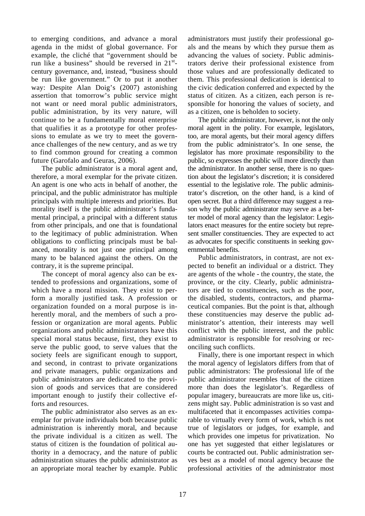to emerging conditions, and advance a moral agenda in the midst of global governance. For example, the cliché that "government should be run like a business" should be reversed in  $21^{st}$ century governance, and, instead, "business should be run like government." Or to put it another way: Despite Alan Doig's (2007) astonishing assertion that tomorrow's public service might not want or need moral public administrators, public administration, by its very nature, will continue to be a fundamentally moral enterprise that qualifies it as a prototype for other professions to emulate as we try to meet the governance challenges of the new century, and as we try to find common ground for creating a common future (Garofalo and Geuras, 2006).

The public administrator is a moral agent and, therefore, a moral exemplar for the private citizen. An agent is one who acts in behalf of another, the principal, and the public administrator has multiple principals with multiple interests and priorities. But morality itself is the public administrator's fundamental principal, a principal with a different status from other principals, and one that is foundational to the legitimacy of public administration. When obligations to conflicting principals must be balanced, morality is not just one principal among many to be balanced against the others. On the contrary, it is the supreme principal.

The concept of moral agency also can be extended to professions and organizations, some of which have a moral mission. They exist to perform a morally justified task. A profession or organization founded on a moral purpose is inherently moral, and the members of such a profession or organization are moral agents. Public organizations and public administrators have this special moral status because, first, they exist to serve the public good, to serve values that the society feels are significant enough to support, and second, in contrast to private organizations and private managers, public organizations and public administrators are dedicated to the provision of goods and services that are considered important enough to justify their collective efforts and resources.

The public administrator also serves as an exemplar for private individuals both because public administration is inherently moral, and because the private individual is a citizen as well. The status of citizen is the foundation of political authority in a democracy, and the nature of public administration situates the public administrator as an appropriate moral teacher by example. Public administrators must justify their professional goals and the means by which they pursue them as advancing the values of society. Public administrators derive their professional existence from those values and are professionally dedicated to them. This professional dedication is identical to the civic dedication conferred and expected by the status of citizen. As a citizen, each person is responsible for honoring the values of society, and as a citizen, one is beholden to society.

The public administrator, however, is not the only moral agent in the polity. For example, legislators, too, are moral agents, but their moral agency differs from the public administrator's. In one sense, the legislator has more proximate responsibility to the public, so expresses the public will more directly than the administrator. In another sense, there is no question about the legislator's discretion; it is considered essential to the legislative role. The public administrator's discretion, on the other hand, is a kind of open secret. But a third difference may suggest a reason why the public administrator may serve as a better model of moral agency than the legislator: Legislators enact measures for the entire society but represent smaller constituencies. They are expected to act as advocates for specific constituents in seeking governmental benefits.

Public administrators, in contrast, are not expected to benefit an individual or a district. They are agents of the whole - the country, the state, the province, or the city. Clearly, public administrators are tied to constituencies, such as the poor, the disabled, students, contractors, and pharmaceutical companies. But the point is that, although these constituencies may deserve the public administrator's attention, their interests may well conflict with the public interest, and the public administrator is responsible for resolving or reconciling such conflicts.

Finally, there is one important respect in which the moral agency of legislators differs from that of public administrators: The professional life of the public administrator resembles that of the citizen more than does the legislator's. Regardless of popular imagery, bureaucrats are more like us, citizens might say. Public administration is so vast and multifaceted that it encompasses activities comparable to virtually every form of work, which is not true of legislators or judges, for example, and which provides one impetus for privatization. No one has yet suggested that either legislatures or courts be contracted out. Public administration serves best as a model of moral agency because the professional activities of the administrator most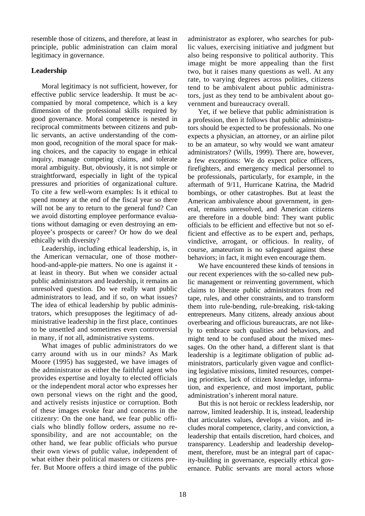resemble those of citizens, and therefore, at least in principle, public administration can claim moral legitimacy in governance.

# **Leadership**

Moral legitimacy is not sufficient, however, for effective public service leadership. It must be accompanied by moral competence, which is a key dimension of the professional skills required by good governance. Moral competence is nested in reciprocal commitments between citizens and public servants, an active understanding of the common good, recognition of the moral space for making choices, and the capacity to engage in ethical inquiry, manage competing claims, and tolerate moral ambiguity. But, obviously, it is not simple or straightforward, especially in light of the typical pressures and priorities of organizational culture. To cite a few well-worn examples: Is it ethical to spend money at the end of the fiscal year so there will not be any to return to the general fund? Can we avoid distorting employee performance evaluations without damaging or even destroying an employee's prospects or career? Or how do we deal ethically with diversity?

Leadership, including ethical leadership, is, in the American vernacular, one of those motherhood-and-apple-pie matters. No one is against it at least in theory. But when we consider actual public administrators and leadership, it remains an unresolved question. Do we really want public administrators to lead, and if so, on what issues? The idea of ethical leadership by public administrators, which presupposes the legitimacy of administrative leadership in the first place, continues to be unsettled and sometimes even controversial in many, if not all, administrative systems.

What images of public administrators do we carry around with us in our minds? As Mark Moore (1995) has suggested, we have images of the administrator as either the faithful agent who provides expertise and loyalty to elected officials or the independent moral actor who expresses her own personal views on the right and the good, and actively resists injustice or corruption. Both of these images evoke fear and concerns in the citizenry: On the one hand, we fear public officials who blindly follow orders, assume no responsibility, and are not accountable; on the other hand, we fear public officials who pursue their own views of public value, independent of what either their political masters or citizens prefer. But Moore offers a third image of the public administrator as explorer, who searches for public values, exercising initiative and judgment but also being responsive to political authority. This image might be more appealing than the first two, but it raises many questions as well. At any rate, to varying degrees across polities, citizens tend to be ambivalent about public administrators, just as they tend to be ambivalent about government and bureaucracy overall.

Yet, if we believe that public administration is a profession, then it follows that public administrators should be expected to be professionals. No one expects a physician, an attorney, or an airline pilot to be an amateur, so why would we want amateur administrators? (Wills, 1999). There are, however, a few exceptions: We do expect police officers, firefighters, and emergency medical personnel to be professionals, particularly, for example, in the aftermath of 9/11, Hurricane Katrina, the Madrid bombings, or other catastrophes. But at least the American ambivalence about government, in general, remains unresolved, and American citizens are therefore in a double bind: They want public officials to be efficient and effective but not so efficient and effective as to be expert and, perhaps, vindictive, arrogant, or officious. In reality, of course, amateurism is no safeguard against these behaviors; in fact, it might even encourage them.

We have encountered these kinds of tensions in our recent experiences with the so-called new public management or reinventing government, which claims to liberate public administrators from red tape, rules, and other constraints, and to transform them into rule-bending, rule-breaking, risk-taking entrepreneurs. Many citizens, already anxious about overbearing and officious bureaucrats, are not likely to embrace such qualities and behaviors, and might tend to be confused about the mixed messages. On the other hand, a different slant is that leadership is a legitimate obligation of public administrators, particularly given vague and conflicting legislative missions, limited resources, competing priorities, lack of citizen knowledge, information, and experience, and most important, public administration's inherent moral nature.

But this is not heroic or reckless leadership, nor narrow, limited leadership. It is, instead, leadership that articulates values, develops a vision, and includes moral competence, clarity, and conviction, a leadership that entails discretion, hard choices, and transparency. Leadership and leadership development, therefore, must be an integral part of capacity-building in governance, especially ethical governance. Public servants are moral actors whose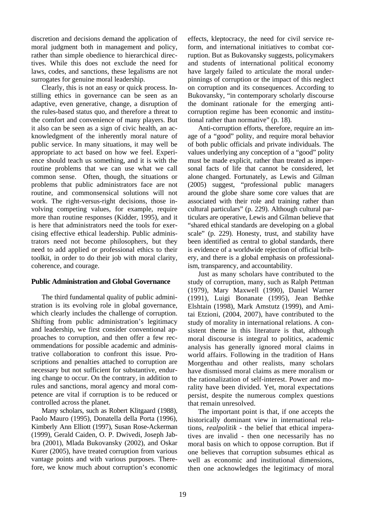discretion and decisions demand the application of moral judgment both in management and policy, rather than simple obedience to hierarchical directives. While this does not exclude the need for laws, codes, and sanctions, these legalisms are not surrogates for genuine moral leadership.

Clearly, this is not an easy or quick process. Instilling ethics in governance can be seen as an adaptive, even generative, change, a disruption of the rules-based status quo, and therefore a threat to the comfort and convenience of many players. But it also can be seen as a sign of civic health, an acknowledgment of the inherently moral nature of public service. In many situations, it may well be appropriate to act based on how we feel. Experience should teach us something, and it is with the routine problems that we can use what we call common sense. Often, though, the situations or problems that public administrators face are not routine, and commonsensical solutions will not work. The right-versus-right decisions, those involving competing values, for example, require more than routine responses (Kidder, 1995), and it is here that administrators need the tools for exercising effective ethical leadership. Public administrators need not become philosophers, but they need to add applied or professional ethics to their toolkit, in order to do their job with moral clarity, coherence, and courage.

# **Public Administration and Global Governance**

The third fundamental quality of public administration is its evolving role in global governance, which clearly includes the challenge of corruption. Shifting from public administration's legitimacy and leadership, we first consider conventional approaches to corruption, and then offer a few recommendations for possible academic and administrative collaboration to confront this issue. Proscriptions and penalties attached to corruption are necessary but not sufficient for substantive, enduring change to occur. On the contrary, in addition to rules and sanctions, moral agency and moral competence are vital if corruption is to be reduced or controlled across the planet.

Many scholars, such as Robert Klitgaard (1988), Paolo Mauro (1995), Donatella della Porta (1996), Kimberly Ann Elliott (1997), Susan Rose-Ackerman (1999), Gerald Caiden, O. P. Dwivedi, Joseph Jabbra (2001), Mlada Bukovansky (2002), and Oskar Kurer (2005), have treated corruption from various vantage points and with various purposes. Therefore, we know much about corruption's economic effects, kleptocracy, the need for civil service reform, and international initiatives to combat corruption. But as Bukovansky suggests, policymakers and students of international political economy have largely failed to articulate the moral underpinnings of corruption or the impact of this neglect on corruption and its consequences. According to Bukovansky, "in contemporary scholarly discourse the dominant rationale for the emerging anticorruption regime has been economic and institutional rather than normative" (p. 18).

Anti-corruption efforts, therefore, require an image of a "good" polity, and require moral behavior of both public officials and private individuals. The values underlying any conception of a "good" polity must be made explicit, rather than treated as impersonal facts of life that cannot be considered, let alone changed. Fortunately, as Lewis and Gilman (2005) suggest, "professional public managers around the globe share some core values that are associated with their role and training rather than cultural particulars" (p. 229). Although cultural particulars are operative, Lewis and Gilman believe that "shared ethical standards are developing on a global scale" (p. 229). Honesty, trust, and stability have been identified as central to global standards, there is evidence of a worldwide rejection of official bribery, and there is a global emphasis on professionalism, transparency, and accountability.

Just as many scholars have contributed to the study of corruption, many, such as Ralph Pettman (1979), Mary Maxwell (1990), Daniel Warner (1991), Luigi Bonanate (1995), Jean Bethke Elshtain (1998), Mark Amstutz (1999), and Amitai Etzioni, (2004, 2007), have contributed to the study of morality in international relations. A consistent theme in this literature is that, although moral discourse is integral to politics, academic analysis has generally ignored moral claims in world affairs. Following in the tradition of Hans Morgenthau and other realists, many scholars have dismissed moral claims as mere moralism or the rationalization of self-interest. Power and morality have been divided. Yet, moral expectations persist, despite the numerous complex questions that remain unresolved.

The important point is that, if one accepts the historically dominant view in international relations, *realpolitik -* the belief that ethical imperatives are invalid - then one necessarily has no moral basis on which to oppose corruption. But if one believes that corruption subsumes ethical as well as economic and institutional dimensions, then one acknowledges the legitimacy of moral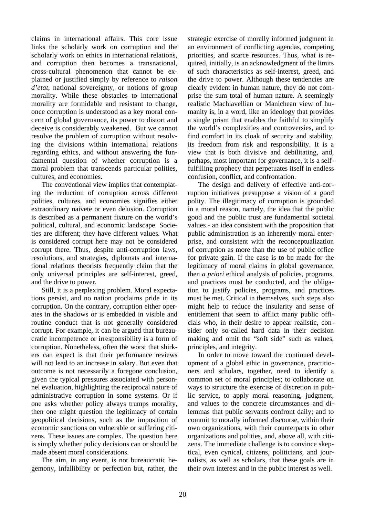claims in international affairs. This core issue links the scholarly work on corruption and the scholarly work on ethics in international relations, and corruption then becomes a transnational, cross-cultural phenomenon that cannot be explained or justified simply by reference to *raison d'etat*, national sovereignty, or notions of group morality. While these obstacles to international morality are formidable and resistant to change, once corruption is understood as a key moral concern of global governance, its power to distort and deceive is considerably weakened. But we cannot resolve the problem of corruption without resolving the divisions within international relations regarding ethics, and without answering the fundamental question of whether corruption is a moral problem that transcends particular polities, cultures, and economies.

The conventional view implies that contemplating the reduction of corruption across different polities, cultures, and economies signifies either extraordinary naivete or even delusion. Corruption is described as a permanent fixture on the world's political, cultural, and economic landscape. Societies are different; they have different values. What is considered corrupt here may not be considered corrupt there. Thus, despite anti-corruption laws, resolutions, and strategies, diplomats and international relations theorists frequently claim that the only universal principles are self-interest, greed, and the drive to power.

Still, it is a perplexing problem. Moral expectations persist, and no nation proclaims pride in its corruption. On the contrary, corruption either operates in the shadows or is embedded in visible and routine conduct that is not generally considered corrupt. For example, it can be argued that bureaucratic incompetence or irresponsibility is a form of corruption. Nonetheless, often the worst that shirkers can expect is that their performance reviews will not lead to an increase in salary. But even that outcome is not necessarily a foregone conclusion, given the typical pressures associated with personnel evaluation, highlighting the reciprocal nature of administrative corruption in some systems. Or if one asks whether policy always trumps morality, then one might question the legitimacy of certain geopolitical decisions, such as the imposition of economic sanctions on vulnerable or suffering citizens. These issues are complex. The question here is simply whether policy decisions can or should be made absent moral considerations.

The aim, in any event, is not bureaucratic hegemony, infallibility or perfection but, rather, the strategic exercise of morally informed judgment in an environment of conflicting agendas, competing priorities, and scarce resources. Thus, what is required, initially, is an acknowledgment of the limits of such characteristics as self-interest, greed, and the drive to power. Although these tendencies are clearly evident in human nature, they do not comprise the sum total of human nature. A seemingly realistic Machiavellian or Manichean view of humanity is, in a word, like an ideology that provides a single prism that enables the faithful to simplify the world's complexities and controversies, and to find comfort in its cloak of security and stability, its freedom from risk and responsibility. It is a view that is both divisive and debilitating, and, perhaps, most important for governance, it is a selffulfilling prophecy that perpetuates itself in endless confusion, conflict, and confrontation.

The design and delivery of effective anti-corruption initiatives presuppose a vision of a good polity. The illegitimacy of corruption is grounded in a moral reason, namely, the idea that the public good and the public trust are fundamental societal values - an idea consistent with the proposition that public administration is an inherently moral enterprise, and consistent with the reconceptualization of corruption as more than the use of public office for private gain. If the case is to be made for the legitimacy of moral claims in global governance, then *a priori* ethical analysis of policies, programs, and practices must be conducted, and the obligation to justify policies, programs, and practices must be met. Critical in themselves, such steps also might help to reduce the insularity and sense of entitlement that seem to afflict many public officials who, in their desire to appear realistic, consider only so-called hard data in their decision making and omit the "soft side" such as values, principles, and integrity.

In order to move toward the continued development of a global ethic in governance, practitioners and scholars, together, need to identify a common set of moral principles; to collaborate on ways to structure the exercise of discretion in public service, to apply moral reasoning, judgment, and values to the concrete circumstances and dilemmas that public servants confront daily; and to commit to morally informed discourse, within their own organizations, with their counterparts in other organizations and polities, and, above all, with citizens. The immediate challenge is to convince skeptical, even cynical, citizens, politicians, and journalists, as well as scholars, that these goals are in their own interest and in the public interest as well.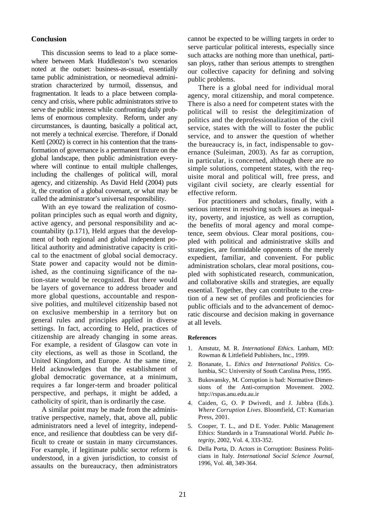# **Conclusion**

This discussion seems to lead to a place somewhere between Mark Huddleston's two scenarios noted at the outset: business-as-usual, essentially tame public administration, or neomedieval administration characterized by turmoil, dissensus, and fragmentation. It leads to a place between complacency and crisis, where public administrators strive to serve the public interest while confronting daily problems of enormous complexity. Reform, under any circumstances, is daunting, basically a political act, not merely a technical exercise. Therefore, if Donald Kettl (2002) is correct in his contention that the transformation of governance is a permanent fixture on the global landscape, then public administration everywhere will continue to entail multiple challenges, including the challenges of political will, moral agency, and citizenship. As David Held (2004) puts it, the creation of a global covenant, or what may be called the administrator's universal responsibility.

With an eye toward the realization of cosmopolitan principles such as equal worth and dignity, active agency, and personal responsibility and accountability (p.171), Held argues that the development of both regional and global independent political authority and administrative capacity is critical to the enactment of global social democracy. State power and capacity would not be diminished, as the continuing significance of the nation-state would be recognized. But there would be layers of governance to address broader and more global questions, accountable and responsive polities, and multilevel citizenship based not on exclusive membership in a territory but on general rules and principles applied in diverse settings. In fact, according to Held, practices of citizenship are already changing in some areas. For example, a resident of Glasgow can vote in city elections, as well as those in Scotland, the United Kingdom, and Europe. At the same time, Held acknowledges that the establishment of global democratic governance, at a minimum, requires a far longer-term and broader political perspective, and perhaps, it might be added, a catholicity of spirit, than is ordinarily the case.

A similar point may be made from the administrative perspective, namely, that, above all, public administrators need a level of integrity, independence, and resilience that doubtless can be very difficult to create or sustain in many circumstances. For example, if legitimate public sector reform is understood, in a given jurisdiction, to consist of assaults on the bureaucracy, then administrators

cannot be expected to be willing targets in order to serve particular political interests, especially since such attacks are nothing more than unethical, partisan ploys, rather than serious attempts to strengthen our collective capacity for defining and solving public problems.

There is a global need for individual moral agency, moral citizenship, and moral competence. There is also a need for competent states with the political will to resist the delegitimization of politics and the deprofessionalization of the civil service, states with the will to foster the public service, and to answer the question of whether the bureaucracy is, in fact, indispensable to governance (Suleiman, 2003). As far as corruption, in particular, is concerned, although there are no simple solutions, competent states, with the requisite moral and political will, free press, and vigilant civil society, are clearly essential for effective reform.

For practitioners and scholars, finally, with a serious interest in resolving such issues as inequality, poverty, and injustice, as well as corruption, the benefits of moral agency and moral competence, seem obvious. Clear moral positions, coupled with political and administrative skills and strategies, are formidable opponents of the merely expedient, familiar, and convenient. For public administration scholars, clear moral positions, coupled with sophisticated research, communication, and collaborative skills and strategies, are equally essential. Together, they can contribute to the creation of a new set of profiles and proficiencies for public officials and to the advancement of democratic discourse and decision making in governance at all levels.

#### **References**

- 1. Amstutz, M. R. *International Ethics*. Lanham, MD: Rowman & Littlefield Publishers, Inc., 1999.
- 2. Bonanate, L. *Ethics and International Politics*. Columbia, SC: University of South Carolina Press, 1995.
- 3. Bukovansky, M. Corruption is bad: Normative Dimensions of the Anti-corruption Movement. 2002. http://rspas.anu.edu.au.ir
- 4. Caiden, G, O. P Dwivedi, and J. Jabbra (Eds.). *Where Corruption Lives*. Bloomfield, CT: Kumarian Press, 2001.
- 5. Cooper, T. L., and D E. Yoder. Public Management Ethics: Standards in a Transnational World. *Public Integrity*, 2002, Vol. 4, 333-352.
- 6. Della Porta, D. Actors in Corruption: Business Politicians in Italy. *International Social Science Journal*, 1996, Vol. 48, 349-364.